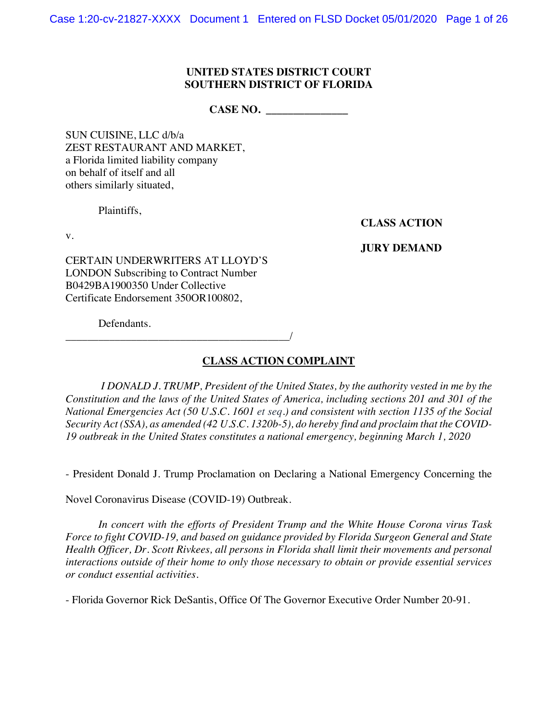## **UNITED STATES DISTRICT COURT SOUTHERN DISTRICT OF FLORIDA**

**CASE NO. \_\_\_\_\_\_\_\_\_\_\_\_\_\_\_**

SUN CUISINE, LLC d/b/a ZEST RESTAURANT AND MARKET, a Florida limited liability company on behalf of itself and all others similarly situated,

Plaintiffs,

v.

**CLASS ACTION**

#### **JURY DEMAND**

CERTAIN UNDERWRITERS AT LLOYD'S LONDON Subscribing to Contract Number B0429BA1900350 Under Collective Certificate Endorsement 350OR100802,

\_\_\_\_\_\_\_\_\_\_\_\_\_\_\_\_\_\_\_\_\_\_\_\_\_\_\_\_\_\_\_\_\_\_\_\_\_\_\_\_\_/

Defendants.

# **CLASS ACTION COMPLAINT**

*I DONALD J. TRUMP, President of the United States, by the authority vested in me by the Constitution and the laws of the United States of America, including sections 201 and 301 of the National Emergencies Act (50 U.S.C. 1601 et seq.) and consistent with section 1135 of the Social Security Act (SSA), as amended (42 U.S.C. 1320b-5), do hereby find and proclaim that the COVID-19 outbreak in the United States constitutes a national emergency, beginning March 1, 2020*

- President Donald J. Trump Proclamation on Declaring a National Emergency Concerning the

Novel Coronavirus Disease (COVID-19) Outbreak.

*In concert with the efforts of President Trump and the White House Corona virus Task Force to fight COVID-19, and based on guidance provided by Florida Surgeon General and State Health Officer, Dr. Scott Rivkees, all persons in Florida shall limit their movements and personal interactions outside of their home to only those necessary to obtain or provide essential services or conduct essential activities.*

- Florida Governor Rick DeSantis, Office Of The Governor Executive Order Number 20-91.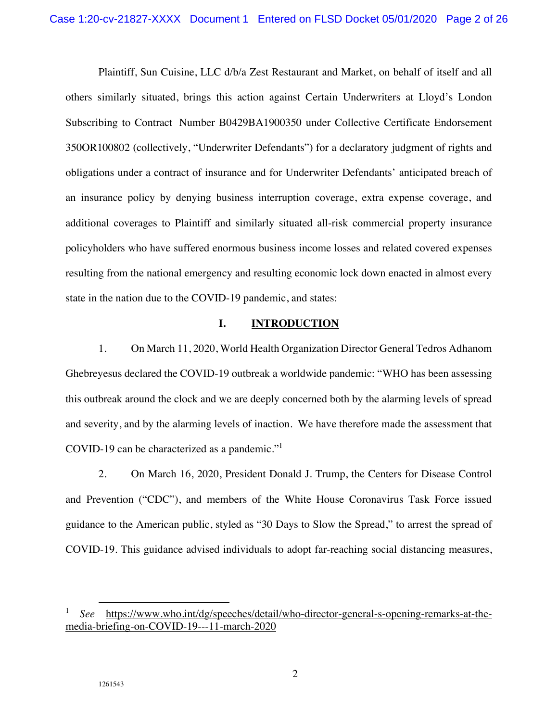Plaintiff, Sun Cuisine, LLC d/b/a Zest Restaurant and Market, on behalf of itself and all others similarly situated, brings this action against Certain Underwriters at Lloyd's London Subscribing to Contract Number B0429BA1900350 under Collective Certificate Endorsement 350OR100802 (collectively, "Underwriter Defendants") for a declaratory judgment of rights and obligations under a contract of insurance and for Underwriter Defendants' anticipated breach of an insurance policy by denying business interruption coverage, extra expense coverage, and additional coverages to Plaintiff and similarly situated all-risk commercial property insurance policyholders who have suffered enormous business income losses and related covered expenses resulting from the national emergency and resulting economic lock down enacted in almost every state in the nation due to the COVID-19 pandemic, and states:

### **I. INTRODUCTION**

1. On March 11, 2020, World Health Organization Director General Tedros Adhanom Ghebreyesus declared the COVID-19 outbreak a worldwide pandemic: "WHO has been assessing this outbreak around the clock and we are deeply concerned both by the alarming levels of spread and severity, and by the alarming levels of inaction. We have therefore made the assessment that COVID-19 can be characterized as a pandemic."<sup>1</sup>

2. On March 16, 2020, President Donald J. Trump, the Centers for Disease Control and Prevention ("CDC"), and members of the White House Coronavirus Task Force issued guidance to the American public, styled as "30 Days to Slow the Spread," to arrest the spread of COVID-19. This guidance advised individuals to adopt far-reaching social distancing measures,

<sup>1</sup> *See* https://www.who.int/dg/speeches/detail/who-director-general-s-opening-remarks-at-themedia-briefing-on-COVID-19---11-march-2020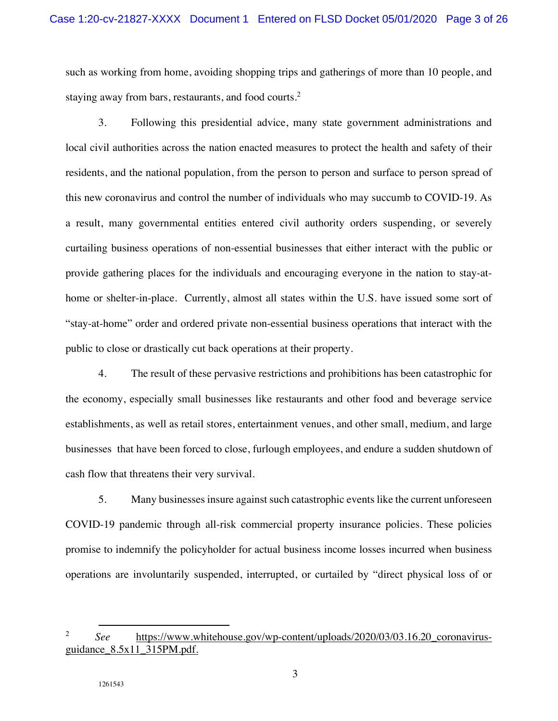such as working from home, avoiding shopping trips and gatherings of more than 10 people, and staying away from bars, restaurants, and food courts.<sup>2</sup>

3. Following this presidential advice, many state government administrations and local civil authorities across the nation enacted measures to protect the health and safety of their residents, and the national population, from the person to person and surface to person spread of this new coronavirus and control the number of individuals who may succumb to COVID-19. As a result, many governmental entities entered civil authority orders suspending, or severely curtailing business operations of non-essential businesses that either interact with the public or provide gathering places for the individuals and encouraging everyone in the nation to stay-athome or shelter-in-place. Currently, almost all states within the U.S. have issued some sort of "stay-at-home" order and ordered private non-essential business operations that interact with the public to close or drastically cut back operations at their property.

4. The result of these pervasive restrictions and prohibitions has been catastrophic for the economy, especially small businesses like restaurants and other food and beverage service establishments, as well as retail stores, entertainment venues, and other small, medium, and large businesses that have been forced to close, furlough employees, and endure a sudden shutdown of cash flow that threatens their very survival.

5. Many businesses insure against such catastrophic events like the current unforeseen COVID-19 pandemic through all-risk commercial property insurance policies. These policies promise to indemnify the policyholder for actual business income losses incurred when business operations are involuntarily suspended, interrupted, or curtailed by "direct physical loss of or

<sup>&</sup>lt;sup>2</sup> *See* https://www.whitehouse.gov/wp-content/uploads/2020/03/03.16.20 coronavirusguidance\_8.5x11\_315PM.pdf.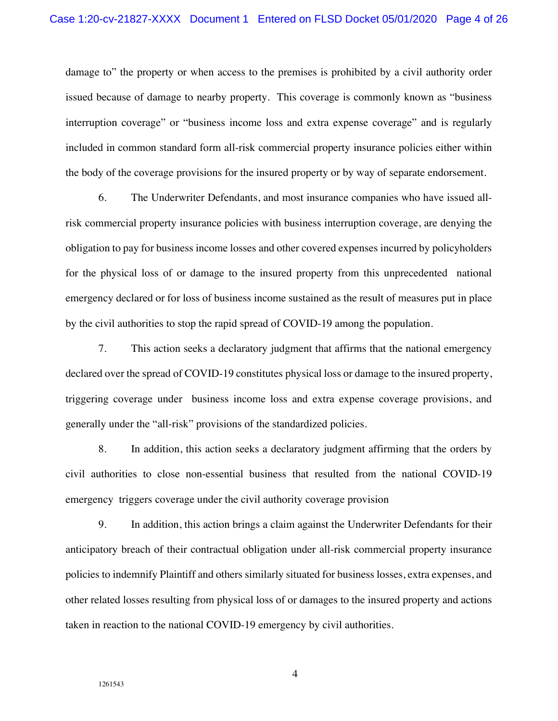damage to" the property or when access to the premises is prohibited by a civil authority order issued because of damage to nearby property. This coverage is commonly known as "business interruption coverage" or "business income loss and extra expense coverage" and is regularly included in common standard form all-risk commercial property insurance policies either within the body of the coverage provisions for the insured property or by way of separate endorsement.

6. The Underwriter Defendants, and most insurance companies who have issued allrisk commercial property insurance policies with business interruption coverage, are denying the obligation to pay for business income losses and other covered expenses incurred by policyholders for the physical loss of or damage to the insured property from this unprecedented national emergency declared or for loss of business income sustained as the result of measures put in place by the civil authorities to stop the rapid spread of COVID-19 among the population.

7. This action seeks a declaratory judgment that affirms that the national emergency declared over the spread of COVID-19 constitutes physical loss or damage to the insured property, triggering coverage under business income loss and extra expense coverage provisions, and generally under the "all-risk" provisions of the standardized policies.

8. In addition, this action seeks a declaratory judgment affirming that the orders by civil authorities to close non-essential business that resulted from the national COVID-19 emergency triggers coverage under the civil authority coverage provision

9. In addition, this action brings a claim against the Underwriter Defendants for their anticipatory breach of their contractual obligation under all-risk commercial property insurance policies to indemnify Plaintiff and others similarly situated for business losses, extra expenses, and other related losses resulting from physical loss of or damages to the insured property and actions taken in reaction to the national COVID-19 emergency by civil authorities.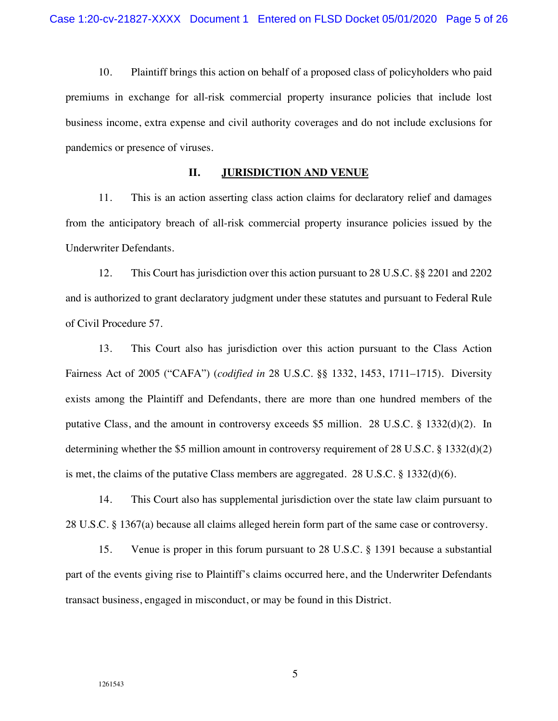10. Plaintiff brings this action on behalf of a proposed class of policyholders who paid premiums in exchange for all-risk commercial property insurance policies that include lost business income, extra expense and civil authority coverages and do not include exclusions for pandemics or presence of viruses.

#### **II. JURISDICTION AND VENUE**

11. This is an action asserting class action claims for declaratory relief and damages from the anticipatory breach of all-risk commercial property insurance policies issued by the Underwriter Defendants.

12. This Court has jurisdiction over this action pursuant to 28 U.S.C. §§ 2201 and 2202 and is authorized to grant declaratory judgment under these statutes and pursuant to Federal Rule of Civil Procedure 57.

13. This Court also has jurisdiction over this action pursuant to the Class Action Fairness Act of 2005 ("CAFA") (*codified in* 28 U.S.C. §§ 1332, 1453, 1711–1715). Diversity exists among the Plaintiff and Defendants, there are more than one hundred members of the putative Class, and the amount in controversy exceeds \$5 million. 28 U.S.C. § 1332(d)(2). In determining whether the \$5 million amount in controversy requirement of 28 U.S.C. § 1332(d)(2) is met, the claims of the putative Class members are aggregated. 28 U.S.C.  $\S$  1332(d)(6).

14. This Court also has supplemental jurisdiction over the state law claim pursuant to 28 U.S.C. § 1367(a) because all claims alleged herein form part of the same case or controversy.

15. Venue is proper in this forum pursuant to 28 U.S.C. § 1391 because a substantial part of the events giving rise to Plaintiff's claims occurred here, and the Underwriter Defendants transact business, engaged in misconduct, or may be found in this District.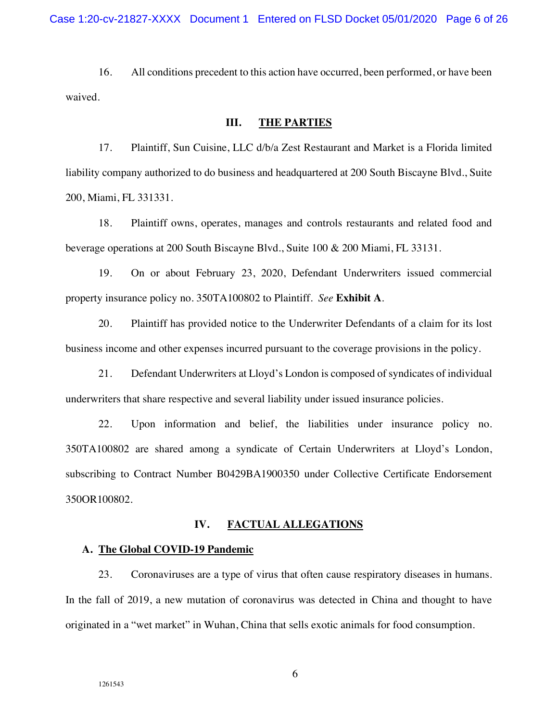16. All conditions precedent to this action have occurred, been performed, or have been waived.

## **III. THE PARTIES**

17. Plaintiff, Sun Cuisine, LLC d/b/a Zest Restaurant and Market is a Florida limited liability company authorized to do business and headquartered at 200 South Biscayne Blvd., Suite 200, Miami, FL 331331.

18. Plaintiff owns, operates, manages and controls restaurants and related food and beverage operations at 200 South Biscayne Blvd., Suite 100 & 200 Miami, FL 33131.

19. On or about February 23, 2020, Defendant Underwriters issued commercial property insurance policy no. 350TA100802 to Plaintiff. *See* **Exhibit A**.

20. Plaintiff has provided notice to the Underwriter Defendants of a claim for its lost business income and other expenses incurred pursuant to the coverage provisions in the policy.

21. Defendant Underwriters at Lloyd's London is composed of syndicates of individual underwriters that share respective and several liability under issued insurance policies.

22. Upon information and belief, the liabilities under insurance policy no. 350TA100802 are shared among a syndicate of Certain Underwriters at Lloyd's London, subscribing to Contract Number B0429BA1900350 under Collective Certificate Endorsement 350OR100802.

#### **IV. FACTUAL ALLEGATIONS**

#### **A. The Global COVID-19 Pandemic**

23. Coronaviruses are a type of virus that often cause respiratory diseases in humans. In the fall of 2019, a new mutation of coronavirus was detected in China and thought to have originated in a "wet market" in Wuhan, China that sells exotic animals for food consumption.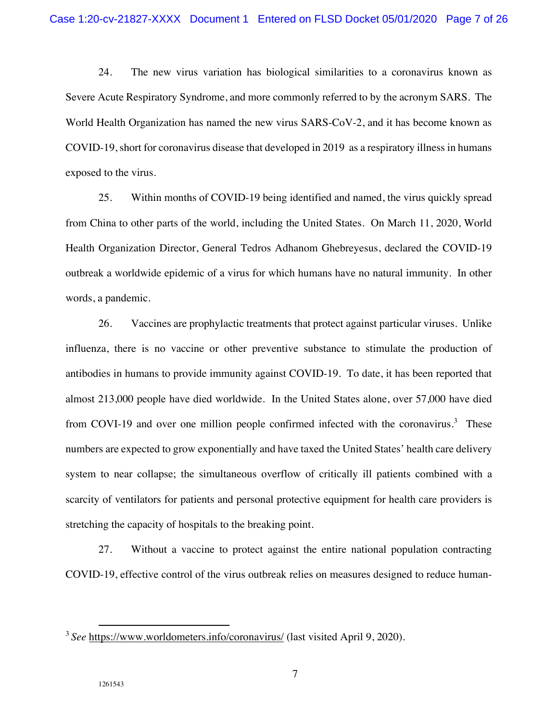24. The new virus variation has biological similarities to a coronavirus known as Severe Acute Respiratory Syndrome, and more commonly referred to by the acronym SARS. The World Health Organization has named the new virus SARS-CoV-2, and it has become known as COVID-19, short for coronavirus disease that developed in 2019 as a respiratory illness in humans exposed to the virus.

25. Within months of COVID-19 being identified and named, the virus quickly spread from China to other parts of the world, including the United States. On March 11, 2020, World Health Organization Director, General Tedros Adhanom Ghebreyesus, declared the COVID-19 outbreak a worldwide epidemic of a virus for which humans have no natural immunity. In other words, a pandemic.

26. Vaccines are prophylactic treatments that protect against particular viruses. Unlike influenza, there is no vaccine or other preventive substance to stimulate the production of antibodies in humans to provide immunity against COVID-19. To date, it has been reported that almost 213,000 people have died worldwide. In the United States alone, over 57,000 have died from COVI-19 and over one million people confirmed infected with the coronavirus.<sup>3</sup> These numbers are expected to grow exponentially and have taxed the United States' health care delivery system to near collapse; the simultaneous overflow of critically ill patients combined with a scarcity of ventilators for patients and personal protective equipment for health care providers is stretching the capacity of hospitals to the breaking point.

27. Without a vaccine to protect against the entire national population contracting COVID-19, effective control of the virus outbreak relies on measures designed to reduce human-

<sup>3</sup> *See* https://www.worldometers.info/coronavirus/ (last visited April 9, 2020).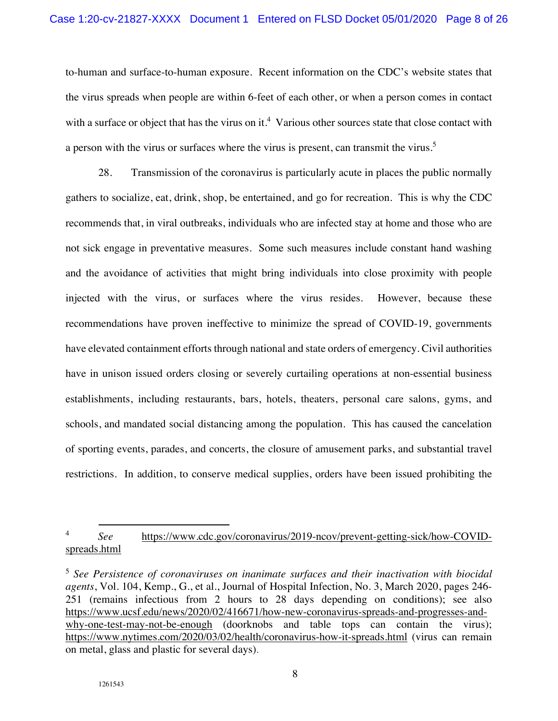to-human and surface-to-human exposure. Recent information on the CDC's website states that the virus spreads when people are within 6-feet of each other, or when a person comes in contact with a surface or object that has the virus on it.<sup>4</sup> Various other sources state that close contact with a person with the virus or surfaces where the virus is present, can transmit the virus.<sup>5</sup>

28. Transmission of the coronavirus is particularly acute in places the public normally gathers to socialize, eat, drink, shop, be entertained, and go for recreation. This is why the CDC recommends that, in viral outbreaks, individuals who are infected stay at home and those who are not sick engage in preventative measures. Some such measures include constant hand washing and the avoidance of activities that might bring individuals into close proximity with people injected with the virus, or surfaces where the virus resides. However, because these recommendations have proven ineffective to minimize the spread of COVID-19, governments have elevated containment efforts through national and state orders of emergency. Civil authorities have in unison issued orders closing or severely curtailing operations at non-essential business establishments, including restaurants, bars, hotels, theaters, personal care salons, gyms, and schools, and mandated social distancing among the population. This has caused the cancelation of sporting events, parades, and concerts, the closure of amusement parks, and substantial travel restrictions. In addition, to conserve medical supplies, orders have been issued prohibiting the

<sup>4</sup> *See* https://www.cdc.gov/coronavirus/2019-ncov/prevent-getting-sick/how-COVIDspreads.html

<sup>5</sup> *See Persistence of coronaviruses on inanimate surfaces and their inactivation with biocidal agents*, Vol. 104, Kemp., G., et al., Journal of Hospital Infection, No. 3, March 2020, pages 246- 251 (remains infectious from 2 hours to 28 days depending on conditions); see also https://www.ucsf.edu/news/2020/02/416671/how-new-coronavirus-spreads-and-progresses-andwhy-one-test-may-not-be-enough (doorknobs and table tops can contain the virus); https://www.nytimes.com/2020/03/02/health/coronavirus-how-it-spreads.html (virus can remain on metal, glass and plastic for several days).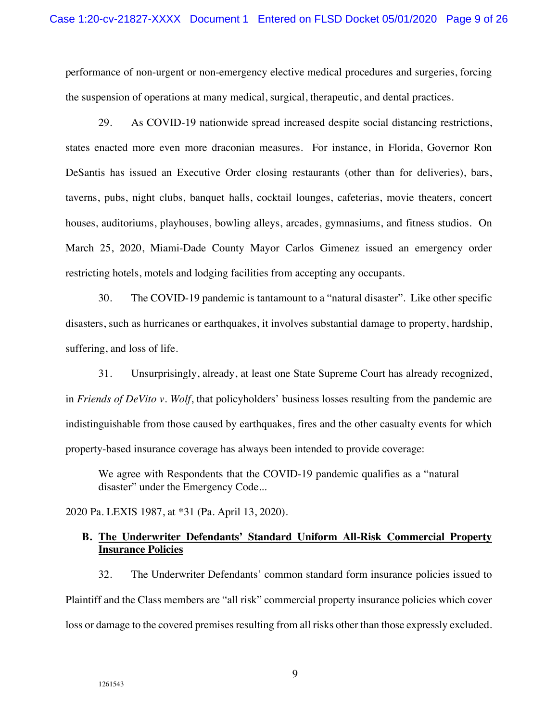performance of non-urgent or non-emergency elective medical procedures and surgeries, forcing the suspension of operations at many medical, surgical, therapeutic, and dental practices.

29. As COVID-19 nationwide spread increased despite social distancing restrictions, states enacted more even more draconian measures. For instance, in Florida, Governor Ron DeSantis has issued an Executive Order closing restaurants (other than for deliveries), bars, taverns, pubs, night clubs, banquet halls, cocktail lounges, cafeterias, movie theaters, concert houses, auditoriums, playhouses, bowling alleys, arcades, gymnasiums, and fitness studios. On March 25, 2020, Miami-Dade County Mayor Carlos Gimenez issued an emergency order restricting hotels, motels and lodging facilities from accepting any occupants.

30. The COVID-19 pandemic is tantamount to a "natural disaster". Like other specific disasters, such as hurricanes or earthquakes, it involves substantial damage to property, hardship, suffering, and loss of life.

31. Unsurprisingly, already, at least one State Supreme Court has already recognized, in *Friends of DeVito v. Wolf*, that policyholders' business losses resulting from the pandemic are indistinguishable from those caused by earthquakes, fires and the other casualty events for which property-based insurance coverage has always been intended to provide coverage:

We agree with Respondents that the COVID-19 pandemic qualifies as a "natural disaster" under the Emergency Code...

2020 Pa. LEXIS 1987, at \*31 (Pa. April 13, 2020).

# **B. The Underwriter Defendants' Standard Uniform All-Risk Commercial Property Insurance Policies**

32. The Underwriter Defendants' common standard form insurance policies issued to Plaintiff and the Class members are "all risk" commercial property insurance policies which cover loss or damage to the covered premises resulting from all risks other than those expressly excluded.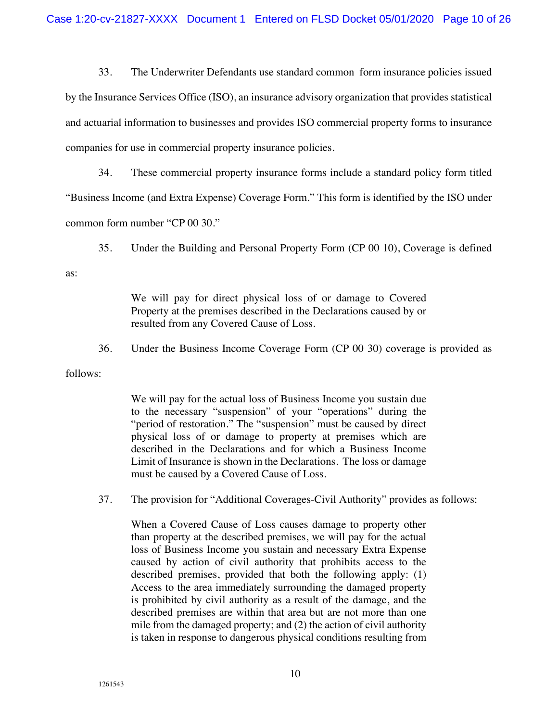33. The Underwriter Defendants use standard common form insurance policies issued by the Insurance Services Office (ISO), an insurance advisory organization that provides statistical and actuarial information to businesses and provides ISO commercial property forms to insurance companies for use in commercial property insurance policies.

34. These commercial property insurance forms include a standard policy form titled "Business Income (and Extra Expense) Coverage Form." This form is identified by the ISO under common form number "CP 00 30."

35. Under the Building and Personal Property Form (CP 00 10), Coverage is defined

as:

We will pay for direct physical loss of or damage to Covered Property at the premises described in the Declarations caused by or resulted from any Covered Cause of Loss.

36. Under the Business Income Coverage Form (CP 00 30) coverage is provided as

follows:

We will pay for the actual loss of Business Income you sustain due to the necessary "suspension" of your "operations" during the "period of restoration." The "suspension" must be caused by direct physical loss of or damage to property at premises which are described in the Declarations and for which a Business Income Limit of Insurance is shown in the Declarations. The loss or damage must be caused by a Covered Cause of Loss.

37. The provision for "Additional Coverages-Civil Authority" provides as follows:

When a Covered Cause of Loss causes damage to property other than property at the described premises, we will pay for the actual loss of Business Income you sustain and necessary Extra Expense caused by action of civil authority that prohibits access to the described premises, provided that both the following apply: (1) Access to the area immediately surrounding the damaged property is prohibited by civil authority as a result of the damage, and the described premises are within that area but are not more than one mile from the damaged property; and (2) the action of civil authority is taken in response to dangerous physical conditions resulting from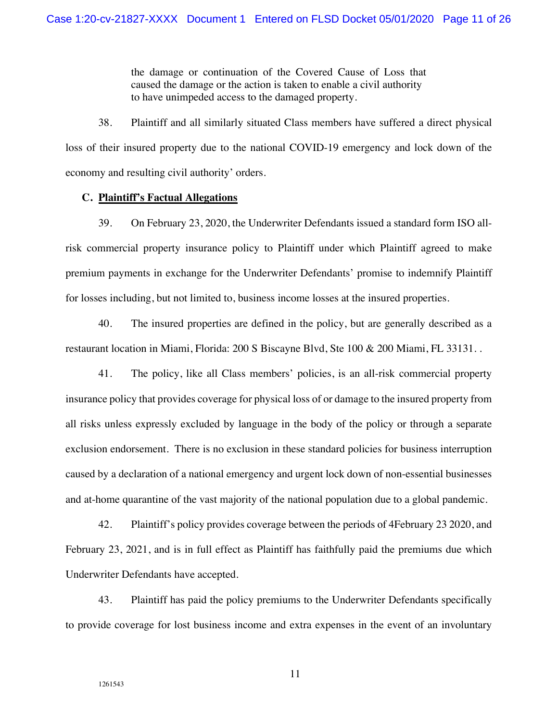the damage or continuation of the Covered Cause of Loss that caused the damage or the action is taken to enable a civil authority to have unimpeded access to the damaged property.

38. Plaintiff and all similarly situated Class members have suffered a direct physical loss of their insured property due to the national COVID-19 emergency and lock down of the economy and resulting civil authority' orders.

### **C. Plaintiff's Factual Allegations**

39. On February 23, 2020, the Underwriter Defendants issued a standard form ISO allrisk commercial property insurance policy to Plaintiff under which Plaintiff agreed to make premium payments in exchange for the Underwriter Defendants' promise to indemnify Plaintiff for losses including, but not limited to, business income losses at the insured properties.

40. The insured properties are defined in the policy, but are generally described as a restaurant location in Miami, Florida: 200 S Biscayne Blvd, Ste 100 & 200 Miami, FL 33131. .

41. The policy, like all Class members' policies, is an all-risk commercial property insurance policy that provides coverage for physical loss of or damage to the insured property from all risks unless expressly excluded by language in the body of the policy or through a separate exclusion endorsement. There is no exclusion in these standard policies for business interruption caused by a declaration of a national emergency and urgent lock down of non-essential businesses and at-home quarantine of the vast majority of the national population due to a global pandemic.

42. Plaintiff's policy provides coverage between the periods of 4February 23 2020, and February 23, 2021, and is in full effect as Plaintiff has faithfully paid the premiums due which Underwriter Defendants have accepted.

43. Plaintiff has paid the policy premiums to the Underwriter Defendants specifically to provide coverage for lost business income and extra expenses in the event of an involuntary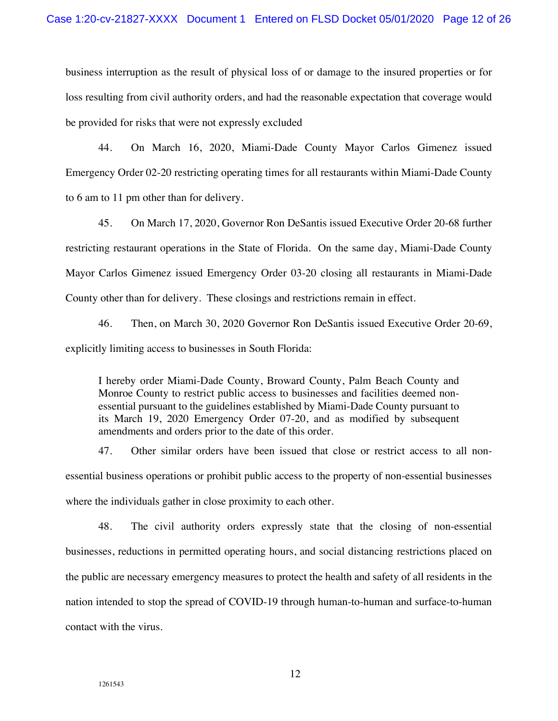business interruption as the result of physical loss of or damage to the insured properties or for loss resulting from civil authority orders, and had the reasonable expectation that coverage would be provided for risks that were not expressly excluded

44. On March 16, 2020, Miami-Dade County Mayor Carlos Gimenez issued Emergency Order 02-20 restricting operating times for all restaurants within Miami-Dade County to 6 am to 11 pm other than for delivery.

45. On March 17, 2020, Governor Ron DeSantis issued Executive Order 20-68 further restricting restaurant operations in the State of Florida. On the same day, Miami-Dade County Mayor Carlos Gimenez issued Emergency Order 03-20 closing all restaurants in Miami-Dade County other than for delivery. These closings and restrictions remain in effect.

46. Then, on March 30, 2020 Governor Ron DeSantis issued Executive Order 20-69, explicitly limiting access to businesses in South Florida:

I hereby order Miami-Dade County, Broward County, Palm Beach County and Monroe County to restrict public access to businesses and facilities deemed nonessential pursuant to the guidelines established by Miami-Dade County pursuant to its March 19, 2020 Emergency Order 07-20, and as modified by subsequent amendments and orders prior to the date of this order.

47. Other similar orders have been issued that close or restrict access to all nonessential business operations or prohibit public access to the property of non-essential businesses where the individuals gather in close proximity to each other.

48. The civil authority orders expressly state that the closing of non-essential businesses, reductions in permitted operating hours, and social distancing restrictions placed on the public are necessary emergency measures to protect the health and safety of all residents in the nation intended to stop the spread of COVID-19 through human-to-human and surface-to-human contact with the virus.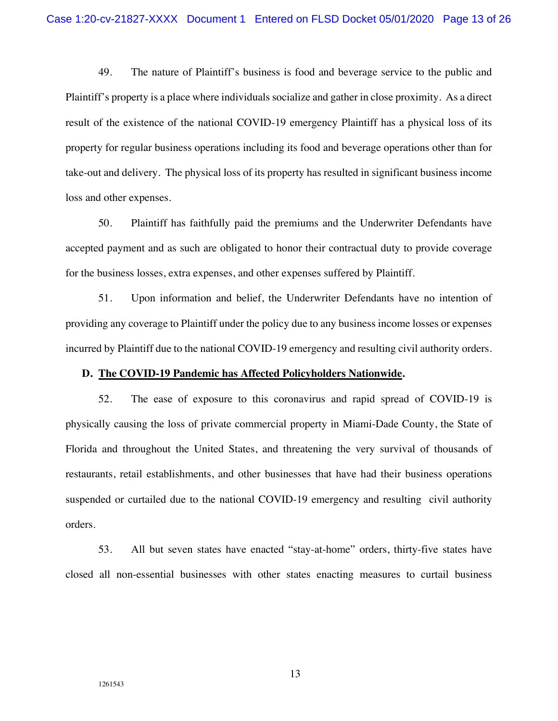49. The nature of Plaintiff's business is food and beverage service to the public and Plaintiff's property is a place where individuals socialize and gather in close proximity. As a direct result of the existence of the national COVID-19 emergency Plaintiff has a physical loss of its property for regular business operations including its food and beverage operations other than for take-out and delivery. The physical loss of its property has resulted in significant business income loss and other expenses.

50. Plaintiff has faithfully paid the premiums and the Underwriter Defendants have accepted payment and as such are obligated to honor their contractual duty to provide coverage for the business losses, extra expenses, and other expenses suffered by Plaintiff.

51. Upon information and belief, the Underwriter Defendants have no intention of providing any coverage to Plaintiff under the policy due to any business income losses or expenses incurred by Plaintiff due to the national COVID-19 emergency and resulting civil authority orders.

#### **D. The COVID-19 Pandemic has Affected Policyholders Nationwide.**

52. The ease of exposure to this coronavirus and rapid spread of COVID-19 is physically causing the loss of private commercial property in Miami-Dade County, the State of Florida and throughout the United States, and threatening the very survival of thousands of restaurants, retail establishments, and other businesses that have had their business operations suspended or curtailed due to the national COVID-19 emergency and resulting civil authority orders.

53. All but seven states have enacted "stay-at-home" orders, thirty-five states have closed all non-essential businesses with other states enacting measures to curtail business

1261543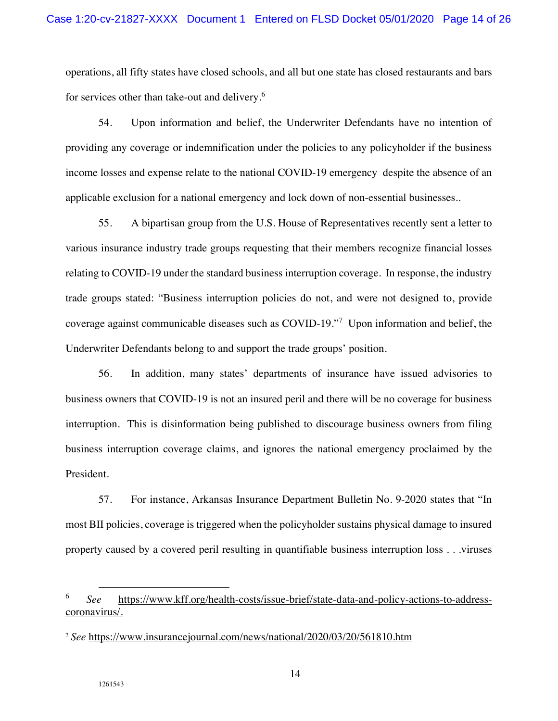operations, all fifty states have closed schools, and all but one state has closed restaurants and bars for services other than take-out and delivery.<sup>6</sup>

54. Upon information and belief, the Underwriter Defendants have no intention of providing any coverage or indemnification under the policies to any policyholder if the business income losses and expense relate to the national COVID-19 emergency despite the absence of an applicable exclusion for a national emergency and lock down of non-essential businesses..

55. A bipartisan group from the U.S. House of Representatives recently sent a letter to various insurance industry trade groups requesting that their members recognize financial losses relating to COVID-19 under the standard business interruption coverage. In response, the industry trade groups stated: "Business interruption policies do not, and were not designed to, provide coverage against communicable diseases such as COVID-19."<sup>7</sup> Upon information and belief, the Underwriter Defendants belong to and support the trade groups' position.

56. In addition, many states' departments of insurance have issued advisories to business owners that COVID-19 is not an insured peril and there will be no coverage for business interruption. This is disinformation being published to discourage business owners from filing business interruption coverage claims, and ignores the national emergency proclaimed by the President.

57. For instance, Arkansas Insurance Department Bulletin No. 9-2020 states that "In most BII policies, coverage is triggered when the policyholder sustains physical damage to insured property caused by a covered peril resulting in quantifiable business interruption loss . . .viruses

<sup>6</sup> *See* https://www.kff.org/health-costs/issue-brief/state-data-and-policy-actions-to-addresscoronavirus/.

<sup>7</sup> *See* https://www.insurancejournal.com/news/national/2020/03/20/561810.htm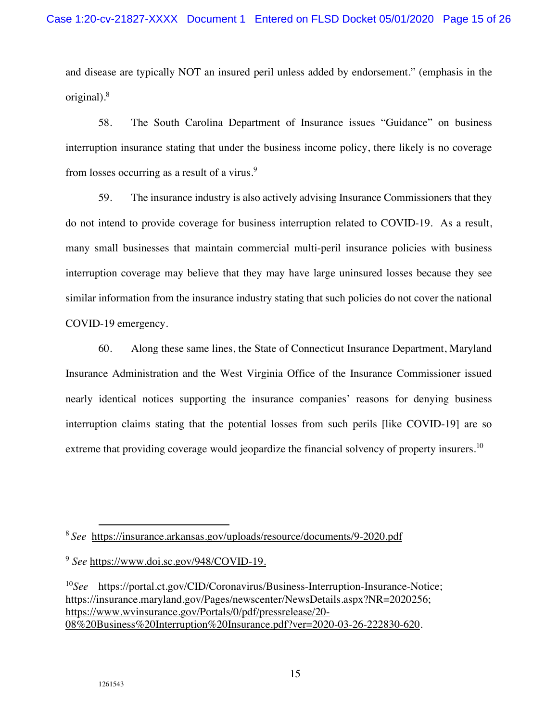and disease are typically NOT an insured peril unless added by endorsement." (emphasis in the original).8

58. The South Carolina Department of Insurance issues "Guidance" on business interruption insurance stating that under the business income policy, there likely is no coverage from losses occurring as a result of a virus. $9$ 

59. The insurance industry is also actively advising Insurance Commissioners that they do not intend to provide coverage for business interruption related to COVID-19. As a result, many small businesses that maintain commercial multi-peril insurance policies with business interruption coverage may believe that they may have large uninsured losses because they see similar information from the insurance industry stating that such policies do not cover the national COVID-19 emergency.

60. Along these same lines, the State of Connecticut Insurance Department, Maryland Insurance Administration and the West Virginia Office of the Insurance Commissioner issued nearly identical notices supporting the insurance companies' reasons for denying business interruption claims stating that the potential losses from such perils [like COVID-19] are so extreme that providing coverage would jeopardize the financial solvency of property insurers.<sup>10</sup>

<sup>8</sup> *See* https://insurance.arkansas.gov/uploads/resource/documents/9-2020.pdf

<sup>9</sup> *See* https://www.doi.sc.gov/948/COVID-19.

<sup>10</sup>*See* https://portal.ct.gov/CID/Coronavirus/Business-Interruption-Insurance-Notice; https://insurance.maryland.gov/Pages/newscenter/NewsDetails.aspx?NR=2020256; https://www.wvinsurance.gov/Portals/0/pdf/pressrelease/20- 08%20Business%20Interruption%20Insurance.pdf?ver=2020-03-26-222830-620.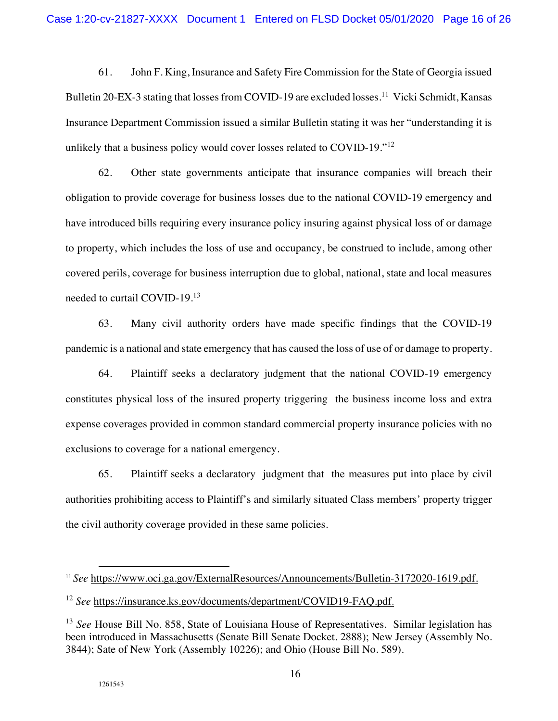61. John F. King, Insurance and Safety Fire Commission for the State of Georgia issued Bulletin 20-EX-3 stating that losses from COVID-19 are excluded losses.<sup>11</sup> Vicki Schmidt, Kansas Insurance Department Commission issued a similar Bulletin stating it was her "understanding it is unlikely that a business policy would cover losses related to COVID-19."<sup>12</sup>

62. Other state governments anticipate that insurance companies will breach their obligation to provide coverage for business losses due to the national COVID-19 emergency and have introduced bills requiring every insurance policy insuring against physical loss of or damage to property, which includes the loss of use and occupancy, be construed to include, among other covered perils, coverage for business interruption due to global, national, state and local measures needed to curtail COVID-19.13

63. Many civil authority orders have made specific findings that the COVID-19 pandemic is a national and state emergency that has caused the loss of use of or damage to property.

64. Plaintiff seeks a declaratory judgment that the national COVID-19 emergency constitutes physical loss of the insured property triggering the business income loss and extra expense coverages provided in common standard commercial property insurance policies with no exclusions to coverage for a national emergency.

65. Plaintiff seeks a declaratory judgment that the measures put into place by civil authorities prohibiting access to Plaintiff's and similarly situated Class members' property trigger the civil authority coverage provided in these same policies.

<sup>11</sup> *See* https://www.oci.ga.gov/ExternalResources/Announcements/Bulletin-3172020-1619.pdf.

<sup>12</sup> *See* https://insurance.ks.gov/documents/department/COVID19-FAQ.pdf.

<sup>13</sup> *See* House Bill No. 858, State of Louisiana House of Representatives. Similar legislation has been introduced in Massachusetts (Senate Bill Senate Docket. 2888); New Jersey (Assembly No. 3844); Sate of New York (Assembly 10226); and Ohio (House Bill No. 589).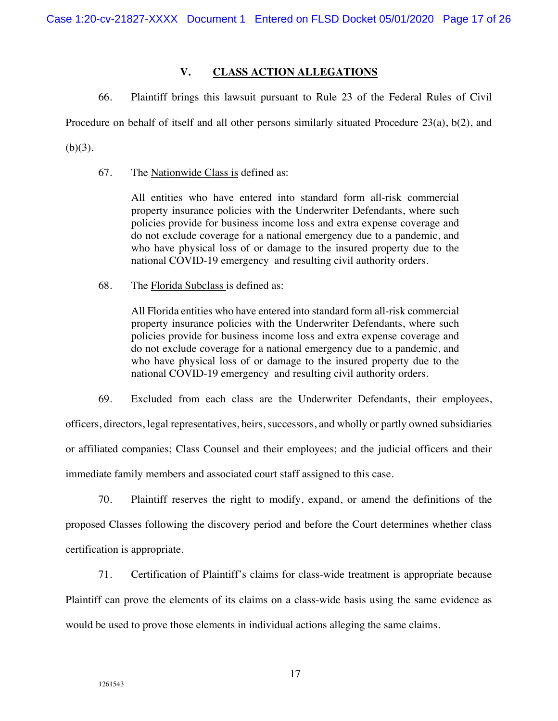## **V. CLASS ACTION ALLEGATIONS**

66. Plaintiff brings this lawsuit pursuant to Rule 23 of the Federal Rules of Civil

Procedure on behalf of itself and all other persons similarly situated Procedure 23(a), b(2), and

 $(b)(3)$ .

67. The Nationwide Class is defined as:

All entities who have entered into standard form all-risk commercial property insurance policies with the Underwriter Defendants, where such policies provide for business income loss and extra expense coverage and do not exclude coverage for a national emergency due to a pandemic, and who have physical loss of or damage to the insured property due to the national COVID-19 emergency and resulting civil authority orders.

68. The Florida Subclass is defined as:

All Florida entities who have entered into standard form all-risk commercial property insurance policies with the Underwriter Defendants, where such policies provide for business income loss and extra expense coverage and do not exclude coverage for a national emergency due to a pandemic, and who have physical loss of or damage to the insured property due to the national COVID-19 emergency and resulting civil authority orders.

69. Excluded from each class are the Underwriter Defendants, their employees,

officers, directors, legal representatives, heirs, successors, and wholly or partly owned subsidiaries or affiliated companies; Class Counsel and their employees; and the judicial officers and their immediate family members and associated court staff assigned to this case.

70. Plaintiff reserves the right to modify, expand, or amend the definitions of the proposed Classes following the discovery period and before the Court determines whether class certification is appropriate.

71. Certification of Plaintiff's claims for class-wide treatment is appropriate because

Plaintiff can prove the elements of its claims on a class-wide basis using the same evidence as would be used to prove those elements in individual actions alleging the same claims.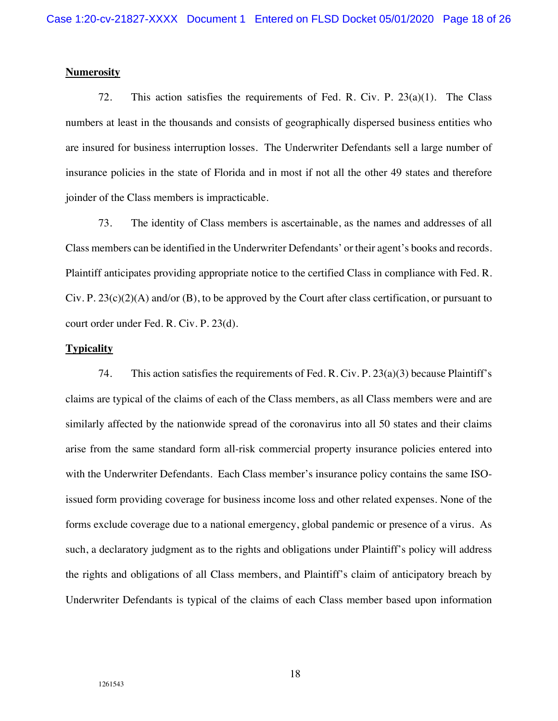### **Numerosity**

72. This action satisfies the requirements of Fed. R. Civ. P. 23(a)(1). The Class numbers at least in the thousands and consists of geographically dispersed business entities who are insured for business interruption losses. The Underwriter Defendants sell a large number of insurance policies in the state of Florida and in most if not all the other 49 states and therefore joinder of the Class members is impracticable.

73. The identity of Class members is ascertainable, as the names and addresses of all Class members can be identified in the Underwriter Defendants' or their agent's books and records. Plaintiff anticipates providing appropriate notice to the certified Class in compliance with Fed. R. Civ. P.  $23(c)(2)(A)$  and/or (B), to be approved by the Court after class certification, or pursuant to court order under Fed. R. Civ. P. 23(d).

#### **Typicality**

74. This action satisfies the requirements of Fed. R. Civ. P. 23(a)(3) because Plaintiff's claims are typical of the claims of each of the Class members, as all Class members were and are similarly affected by the nationwide spread of the coronavirus into all 50 states and their claims arise from the same standard form all-risk commercial property insurance policies entered into with the Underwriter Defendants. Each Class member's insurance policy contains the same ISOissued form providing coverage for business income loss and other related expenses. None of the forms exclude coverage due to a national emergency, global pandemic or presence of a virus. As such, a declaratory judgment as to the rights and obligations under Plaintiff's policy will address the rights and obligations of all Class members, and Plaintiff's claim of anticipatory breach by Underwriter Defendants is typical of the claims of each Class member based upon information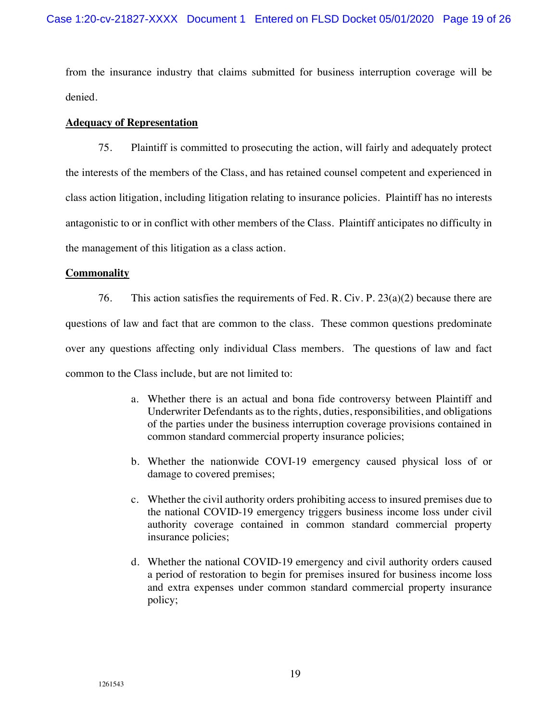from the insurance industry that claims submitted for business interruption coverage will be denied.

## **Adequacy of Representation**

75. Plaintiff is committed to prosecuting the action, will fairly and adequately protect the interests of the members of the Class, and has retained counsel competent and experienced in class action litigation, including litigation relating to insurance policies. Plaintiff has no interests antagonistic to or in conflict with other members of the Class. Plaintiff anticipates no difficulty in the management of this litigation as a class action.

## **Commonality**

76. This action satisfies the requirements of Fed. R. Civ. P. 23(a)(2) because there are questions of law and fact that are common to the class. These common questions predominate over any questions affecting only individual Class members. The questions of law and fact common to the Class include, but are not limited to:

- a. Whether there is an actual and bona fide controversy between Plaintiff and Underwriter Defendants as to the rights, duties, responsibilities, and obligations of the parties under the business interruption coverage provisions contained in common standard commercial property insurance policies;
- b. Whether the nationwide COVI-19 emergency caused physical loss of or damage to covered premises;
- c. Whether the civil authority orders prohibiting access to insured premises due to the national COVID-19 emergency triggers business income loss under civil authority coverage contained in common standard commercial property insurance policies;
- d. Whether the national COVID-19 emergency and civil authority orders caused a period of restoration to begin for premises insured for business income loss and extra expenses under common standard commercial property insurance policy;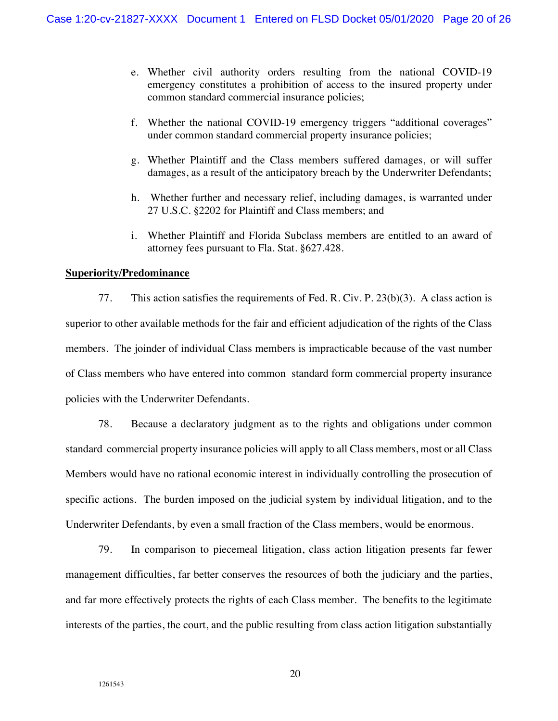- e. Whether civil authority orders resulting from the national COVID-19 emergency constitutes a prohibition of access to the insured property under common standard commercial insurance policies;
- f. Whether the national COVID-19 emergency triggers "additional coverages" under common standard commercial property insurance policies;
- g. Whether Plaintiff and the Class members suffered damages, or will suffer damages, as a result of the anticipatory breach by the Underwriter Defendants;
- h. Whether further and necessary relief, including damages, is warranted under 27 U.S.C. §2202 for Plaintiff and Class members; and
- i. Whether Plaintiff and Florida Subclass members are entitled to an award of attorney fees pursuant to Fla. Stat. §627.428.

### **Superiority/Predominance**

77. This action satisfies the requirements of Fed. R. Civ. P. 23(b)(3). A class action is superior to other available methods for the fair and efficient adjudication of the rights of the Class members. The joinder of individual Class members is impracticable because of the vast number of Class members who have entered into common standard form commercial property insurance policies with the Underwriter Defendants.

78. Because a declaratory judgment as to the rights and obligations under common standard commercial property insurance policies will apply to all Class members, most or all Class Members would have no rational economic interest in individually controlling the prosecution of specific actions. The burden imposed on the judicial system by individual litigation, and to the Underwriter Defendants, by even a small fraction of the Class members, would be enormous.

79. In comparison to piecemeal litigation, class action litigation presents far fewer management difficulties, far better conserves the resources of both the judiciary and the parties, and far more effectively protects the rights of each Class member. The benefits to the legitimate interests of the parties, the court, and the public resulting from class action litigation substantially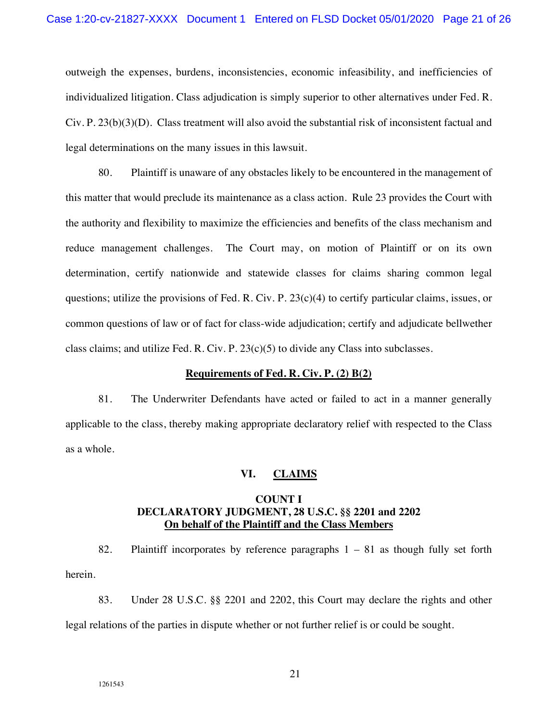outweigh the expenses, burdens, inconsistencies, economic infeasibility, and inefficiencies of individualized litigation. Class adjudication is simply superior to other alternatives under Fed. R. Civ. P. 23(b)(3)(D). Class treatment will also avoid the substantial risk of inconsistent factual and legal determinations on the many issues in this lawsuit.

80. Plaintiff is unaware of any obstacles likely to be encountered in the management of this matter that would preclude its maintenance as a class action. Rule 23 provides the Court with the authority and flexibility to maximize the efficiencies and benefits of the class mechanism and reduce management challenges. The Court may, on motion of Plaintiff or on its own determination, certify nationwide and statewide classes for claims sharing common legal questions; utilize the provisions of Fed. R. Civ. P. 23(c)(4) to certify particular claims, issues, or common questions of law or of fact for class-wide adjudication; certify and adjudicate bellwether class claims; and utilize Fed. R. Civ. P.  $23(c)(5)$  to divide any Class into subclasses.

### **Requirements of Fed. R. Civ. P. (2) B(2)**

81. The Underwriter Defendants have acted or failed to act in a manner generally applicable to the class, thereby making appropriate declaratory relief with respected to the Class as a whole.

### **VI. CLAIMS**

## **COUNT I DECLARATORY JUDGMENT, 28 U.S.C. §§ 2201 and 2202 On behalf of the Plaintiff and the Class Members**

82. Plaintiff incorporates by reference paragraphs 1 – 81 as though fully set forth herein.

83. Under 28 U.S.C. §§ 2201 and 2202, this Court may declare the rights and other legal relations of the parties in dispute whether or not further relief is or could be sought.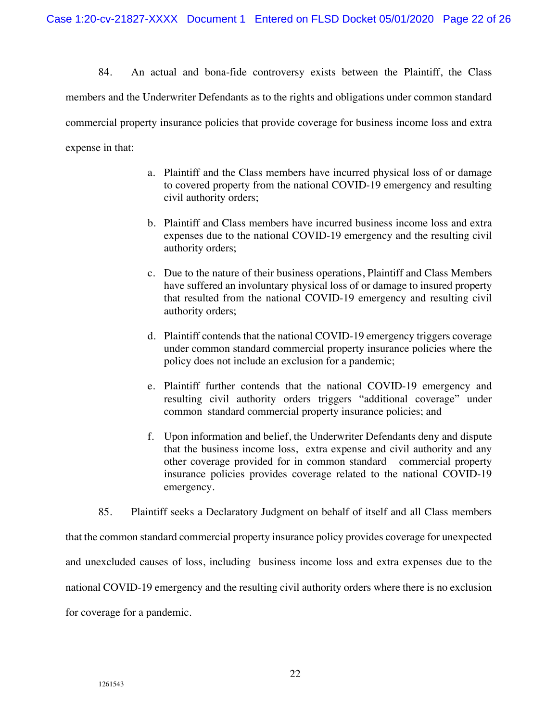84. An actual and bona-fide controversy exists between the Plaintiff, the Class members and the Underwriter Defendants as to the rights and obligations under common standard commercial property insurance policies that provide coverage for business income loss and extra expense in that:

- a. Plaintiff and the Class members have incurred physical loss of or damage to covered property from the national COVID-19 emergency and resulting civil authority orders;
- b. Plaintiff and Class members have incurred business income loss and extra expenses due to the national COVID-19 emergency and the resulting civil authority orders;
- c. Due to the nature of their business operations, Plaintiff and Class Members have suffered an involuntary physical loss of or damage to insured property that resulted from the national COVID-19 emergency and resulting civil authority orders;
- d. Plaintiff contends that the national COVID-19 emergency triggers coverage under common standard commercial property insurance policies where the policy does not include an exclusion for a pandemic;
- e. Plaintiff further contends that the national COVID-19 emergency and resulting civil authority orders triggers "additional coverage" under common standard commercial property insurance policies; and
- f. Upon information and belief, the Underwriter Defendants deny and dispute that the business income loss, extra expense and civil authority and any other coverage provided for in common standard commercial property insurance policies provides coverage related to the national COVID-19 emergency.

85. Plaintiff seeks a Declaratory Judgment on behalf of itself and all Class members

that the common standard commercial property insurance policy provides coverage for unexpected and unexcluded causes of loss, including business income loss and extra expenses due to the national COVID-19 emergency and the resulting civil authority orders where there is no exclusion for coverage for a pandemic.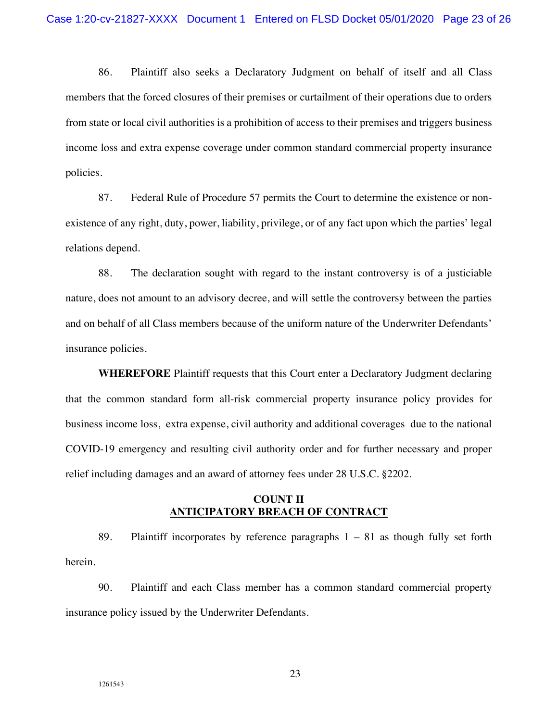86. Plaintiff also seeks a Declaratory Judgment on behalf of itself and all Class members that the forced closures of their premises or curtailment of their operations due to orders from state or local civil authorities is a prohibition of access to their premises and triggers business income loss and extra expense coverage under common standard commercial property insurance policies.

87. Federal Rule of Procedure 57 permits the Court to determine the existence or nonexistence of any right, duty, power, liability, privilege, or of any fact upon which the parties' legal relations depend.

88. The declaration sought with regard to the instant controversy is of a justiciable nature, does not amount to an advisory decree, and will settle the controversy between the parties and on behalf of all Class members because of the uniform nature of the Underwriter Defendants' insurance policies.

**WHEREFORE** Plaintiff requests that this Court enter a Declaratory Judgment declaring that the common standard form all-risk commercial property insurance policy provides for business income loss, extra expense, civil authority and additional coverages due to the national COVID-19 emergency and resulting civil authority order and for further necessary and proper relief including damages and an award of attorney fees under 28 U.S.C. §2202.

## **COUNT II ANTICIPATORY BREACH OF CONTRACT**

89. Plaintiff incorporates by reference paragraphs  $1 - 81$  as though fully set forth herein.

90. Plaintiff and each Class member has a common standard commercial property insurance policy issued by the Underwriter Defendants.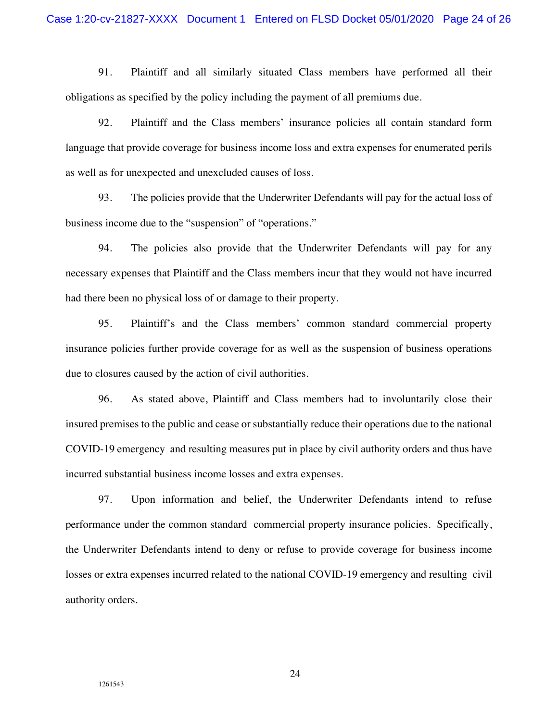91. Plaintiff and all similarly situated Class members have performed all their obligations as specified by the policy including the payment of all premiums due.

92. Plaintiff and the Class members' insurance policies all contain standard form language that provide coverage for business income loss and extra expenses for enumerated perils as well as for unexpected and unexcluded causes of loss.

93. The policies provide that the Underwriter Defendants will pay for the actual loss of business income due to the "suspension" of "operations."

94. The policies also provide that the Underwriter Defendants will pay for any necessary expenses that Plaintiff and the Class members incur that they would not have incurred had there been no physical loss of or damage to their property.

95. Plaintiff's and the Class members' common standard commercial property insurance policies further provide coverage for as well as the suspension of business operations due to closures caused by the action of civil authorities.

96. As stated above, Plaintiff and Class members had to involuntarily close their insured premises to the public and cease or substantially reduce their operations due to the national COVID-19 emergency and resulting measures put in place by civil authority orders and thus have incurred substantial business income losses and extra expenses.

97. Upon information and belief, the Underwriter Defendants intend to refuse performance under the common standard commercial property insurance policies. Specifically, the Underwriter Defendants intend to deny or refuse to provide coverage for business income losses or extra expenses incurred related to the national COVID-19 emergency and resulting civil authority orders.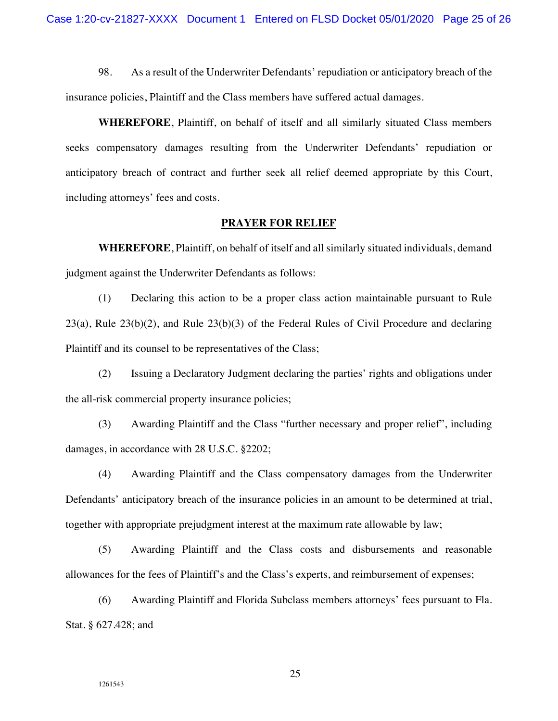98. As a result of the Underwriter Defendants' repudiation or anticipatory breach of the insurance policies, Plaintiff and the Class members have suffered actual damages.

**WHEREFORE**, Plaintiff, on behalf of itself and all similarly situated Class members seeks compensatory damages resulting from the Underwriter Defendants' repudiation or anticipatory breach of contract and further seek all relief deemed appropriate by this Court, including attorneys' fees and costs.

#### **PRAYER FOR RELIEF**

**WHEREFORE**, Plaintiff, on behalf of itself and all similarly situated individuals, demand judgment against the Underwriter Defendants as follows:

(1) Declaring this action to be a proper class action maintainable pursuant to Rule 23(a), Rule 23(b)(2), and Rule 23(b)(3) of the Federal Rules of Civil Procedure and declaring Plaintiff and its counsel to be representatives of the Class;

(2) Issuing a Declaratory Judgment declaring the parties' rights and obligations under the all-risk commercial property insurance policies;

(3) Awarding Plaintiff and the Class "further necessary and proper relief", including damages, in accordance with 28 U.S.C. §2202;

(4) Awarding Plaintiff and the Class compensatory damages from the Underwriter Defendants' anticipatory breach of the insurance policies in an amount to be determined at trial, together with appropriate prejudgment interest at the maximum rate allowable by law;

(5) Awarding Plaintiff and the Class costs and disbursements and reasonable allowances for the fees of Plaintiff's and the Class's experts, and reimbursement of expenses;

(6) Awarding Plaintiff and Florida Subclass members attorneys' fees pursuant to Fla. Stat. § 627.428; and